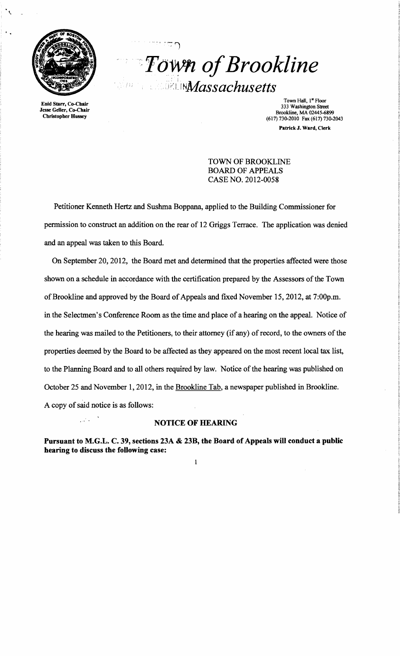

Enid Starr, Co-Chair Jesse Geller, Co-Chair Christopher Hussey

*''Fo-vvn ofBrookline*   $\mathcal{I}$ :  $\mathbb{R}$   $\mathbb{R}$   $\mathbb{N}$   $\mathbb{M}$  assachusetts

""" .-

 $\mathbb{F}^n$ 

Town Hall, 1st Floor 333 Washington Street Brookline, MA 02445-6899 (617) 730-2010 Fax (617) 730-2043 Patrick J. Ward, Clerk

TOWN OF BROOKLINE BOARD OF APPEALS CASE NO. 2012-0058

Petitioner Kenneth Hertz and Sushma Boppana, applied to the Building Commissioner for permission to construct an addition on the rear of 12 Griggs Terrace. The application was denied and an appeal was taken to this Board.

On September 20, 2012, the Board met and determined that the properties affected were those shown on a schedule in accordance with the certification prepared by the Assessors of the Town of Brookline and approved by the Board of Appeals and fixed November 15, 2012, at 7:00p.m. in the Selectmen's Conference Room as the time and place of a hearing on the appeal. Notice of the hearing was mailed to the Petitioners, to their attorney (if any) of record, to the owners of the properties deemed by the Board to be affected as they appeared on the most recent local tax list, to the Planning Board and to all others required by law. Notice of the hearing was published on October 25 and November 1, 2012, in the Brookline Tab, a newspaper published in Brookline. A copy of said notice is as follows:

### NOTICE OF HEARING

Pursuant to M.G.L. C. 39, sections 23A & 23B, the Board of Appeals will conduct a public hearing to discuss the following case: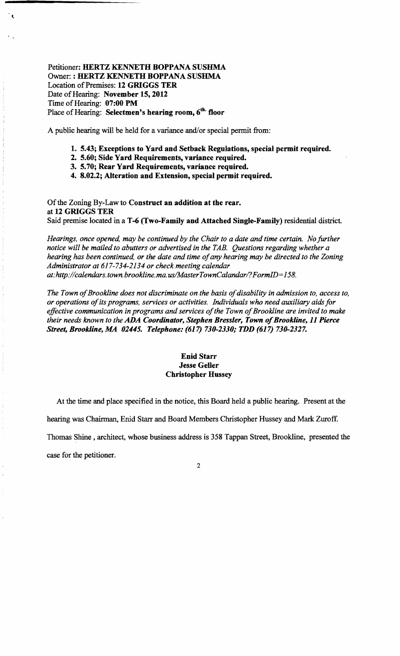Petitioner: HERTZ KENNETH BOPPANA SUSHMA Owner: : HERTZ KENNETH BOPPANA SUSHMA Location of Premises: 12 GRIGGS TER Date of Hearing: November 15, 2012 Time of Hearing: 07:00 PM Place of Hearing: Selectmen's hearing room, 6<sup>th.</sup> floor

 $\epsilon$ 

A public hearing will be held for a variance and/or special permit from:

- 1. 5.43; Exceptions to Yard and Setback Regulations, special permit required.
- 2. 5.60; Side Yard Requirements, variance required.
- 3. 5.70; Rear Yard Requirements, variance required.
- 4. 8.02.2; Alteration and Extension, special permit required.

Of the Zoning By-Law to Construct an addition at the rear. at 12 GRIGGS TER Said premise located in a T-6 (Two-Family and Attached Single-Family) residential district.

*Hearings, once opened, may be continued by the Chair to a date and time certain. No further notice will be mailed to abutters or advertised in the TAB. Questions regarding whether a hearing has been continued, or the date and time of any hearing may be directed to the Zoning Administrator at* 617-734-2134 *or check meeting calendar at:http://calendars.town.brookline.ma.usIMasterTownCalandarl? FormID= 158.* 

The Town of Brookline does not discriminate on the basis of disability in admission to, access to, *or operations ofits programs, services or activities. Individuals who need auxiliary aids for*  effective communication in programs and services of the Town of Brookline are invited to make *their needs known to the ADA Coordinator, Stephen Bressler, Town of Brookline, 11 Pierce Street, Brookline, MA 02445. Telephone:* (617) *730-2330; TDD* (617) *730-2327.* 

## Enid Starr Jesse Geller Christopher Hussey

At the time and place specified in the notice, this Board held a public hearing. Present at the

hearing was Chairman, Enid Starr and Board Members Christopher Hussey and Mark Zuroff.

Thomas Shine, architect, whose business address is 358 Tappan Street, Brookline, presented the

case for the petitioner.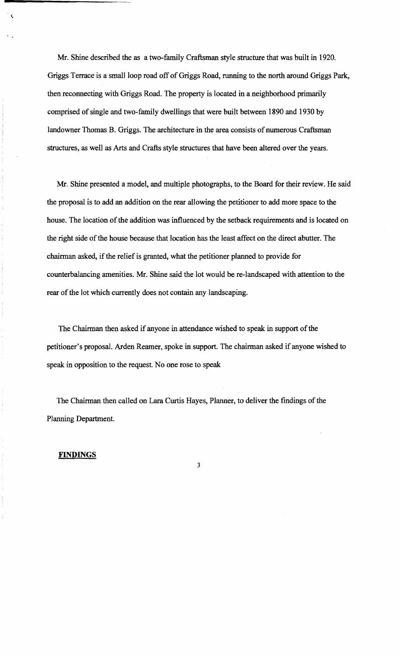Mr. Shine described the as a two-family Craftsman style structure that was built in 1920. Griggs Terrace is a small loop road off of Griggs Road, running to the north around Griggs Park, then reconnecting with Griggs Road. The property is located in a neighborhood primarily comprised of single and two-family dwellings that were built between 1890 and 1930 by landowner Thomas B. Griggs. The architecture in the area consists of numerous Craftsman structures, as well as Arts and Crafts style structures that have been altered over the years.

Mr. Shine presented a model, and multiple photographs, to the Board for their review. He said the proposal is to add an addition on the rear allowing the petitioner to add more space to the house. The location of the addition was influenced by the setback requirements and is located on the right side of the house because that location has the least affect on the direct abutter. The chairman asked, if the relief is granted, what the petitioner planned to provide for counterbalancing amenities. Mr. Shine said the lot would be re-landscaped with attention to the rear of the lot which currently does not contain any landscaping.

The Chairman then asked if anyone in attendance wished to speak in support of the petitioner's proposal. Arden Reamer, spoke in support. The chairman asked if anyone wished to speak in opposition to the request. No one rose to speak

The Chairman then called on Lara Curtis Hayes, Planner, to deliver the findings of the Planning Department.

3

### **FINDINGS**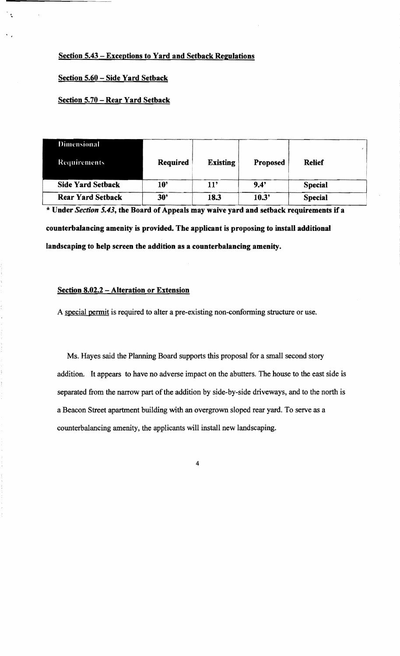# Section 5.43 – Exceptions to Yard and Setback Regulations

## Section 5.60 - Side Yard Setback

### Section 5.70 – Rear Yard Setback

| <b>Dimensional</b>       |                 |                 |          |                |  |
|--------------------------|-----------------|-----------------|----------|----------------|--|
| <b>Requirements</b>      | <b>Required</b> | <b>Existing</b> | Proposed | <b>Relief</b>  |  |
| <b>Side Yard Setback</b> | $10^{\circ}$    | 11'             | 9.4'     | <b>Special</b> |  |
| <b>Rear Yard Setback</b> | 30"             | 18.3            | 10.3'    | <b>Special</b> |  |

\* Under *Section* 5.43, the Board of Appeals may waive yard and setback requirements if <sup>a</sup> counterbalancing amenity is provided. The applicant is proposing to install additional landscaping to help screen the addition as a counterbalancing amenity.

## Section 8.02.2 - Alteration or Extension

A special permit is required to alter a pre-existing non-confonning structure or use.

Ms. Hayes said the Planning Board supports this proposal for a small second story addition. It appears to have no adverse impact on the abutters. The house to the east side is separated from the narrow part of the addition by side-by-side driveways, and to the north is a Beacon Street apartment building with an overgrown sloped rear yard. To serve as a counterbalancing amenity, the applicants will install new landscaping.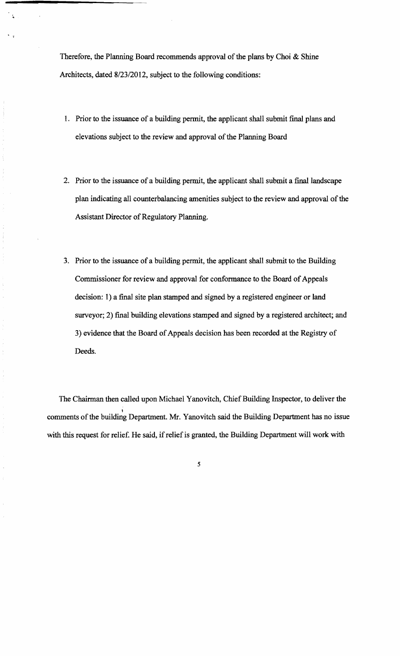Therefore, the Planning Board recommends approval of the plans by Choi & Shine Architects, dated *8/23/2012,* subject to the following conditions:

- 1. Prior to the issuance of a building permit, the applicant shall submit final plans and elevations subject to the review and approval of the Planning Board
- 2. Prior to the issuance of a building permit, the applicant shall submit a final landscape plan indicating all counterbalancing amenities subject to the review and approval of the Assistant Director of Regulatory Planning.
- 3. Prior to the issuance of a building permit, the applicant shall submit to the Building Commissioner for review and approval for conformance to the Board of Appeals decision: 1) a final site plan stamped and signed by a registered engineer or land surveyor; 2) final building elevations stamped and signed by a registered architect; and 3) evidence that the Board of Appeals decision has been recorded at the Registry of Deeds.

The Chairman then called upon Michael Yanovitch, Chief Building Inspector, to deliver the comments of the building Department. Mr. Yanovitch said the Building Department has no issue with this request for relief. He said, if relief is granted, the Building Department will work with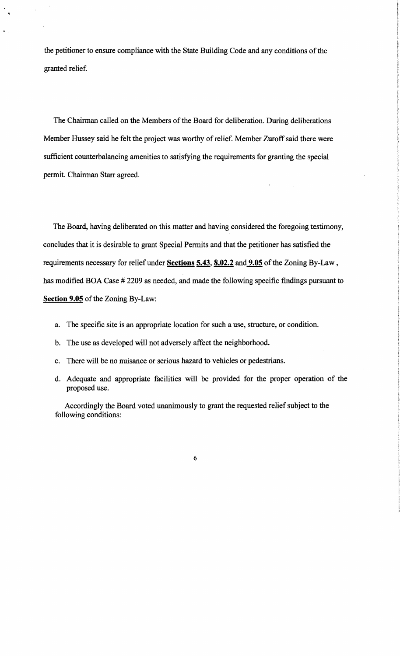the petitioner to ensure compliance with the State Building Code and any conditions of the granted relief.

The Chairman called on the Members of the Board for deliberation. During deliberations Member Hussey said he felt the project was worthy of relief. Member Zuroff said there were sufficient counterbalancing amenities to satisfying the requirements for granting the special permit. Chairman Starr agreed.

The Board, having deliberated on this matter and having considered the foregoing testimony, concludes that it is desirable to grant Special Permits and that the petitioner has satisfied the requirements necessary for relief under Sections 5.43, 8.02.2 and 9.05 of the Zoning By-Law, has modified BOA Case # 2209 as needed, and made the following specific findings pursuant to Section 9.05 of the Zoning By-Law:

- a. The specific site is an appropriate location for such a use, structure, or condition.
- b. The use as developed will not adversely affect the neighborhood.
- c. There will be no nuisance or serious hazard to vehicles or pedestrians.
- d. Adequate and appropriate facilities will be provided for the proper operation of the proposed use.

Accordingly the Board voted unanimously to grant the requested relief subject to the following conditions: